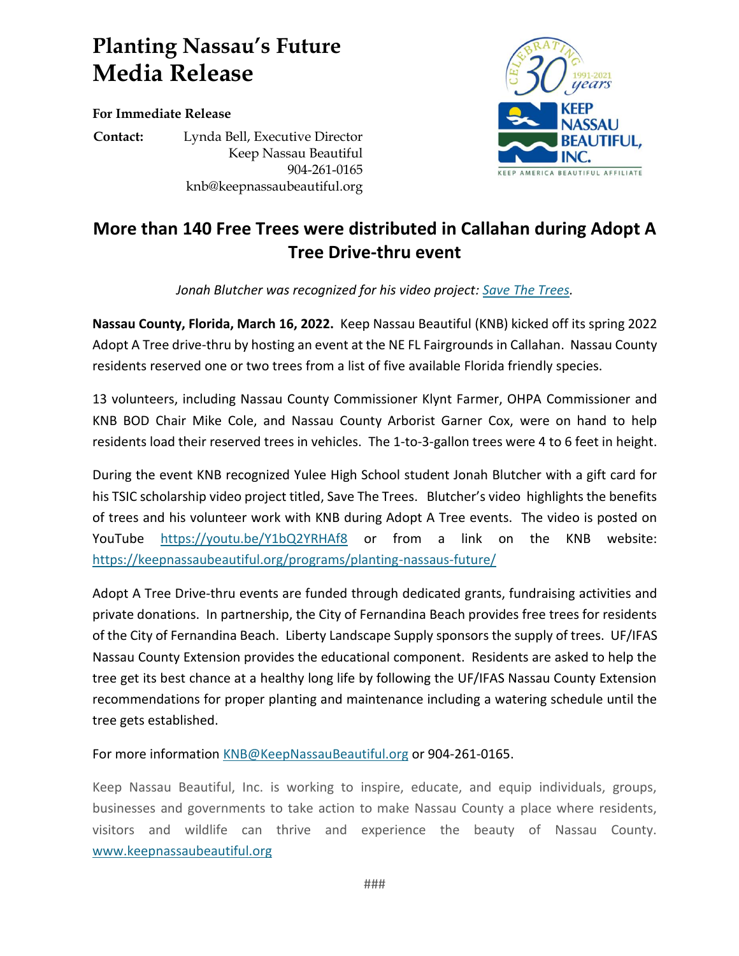## **Planting Nassau's Future Media Release**

**For Immediate Release**

**Contact:** Lynda Bell, Executive Director Keep Nassau Beautiful 904-261-0165 knb@keepnassaubeautiful.org



## **More than 140 Free Trees were distributed in Callahan during Adopt A Tree Drive-thru event**

*Jonah Blutcher was recognized for his video project: [Save The Trees.](https://youtu.be/Y1bQ2YRHAf8)*

**Nassau County, Florida, March 16, 2022.** Keep Nassau Beautiful (KNB) kicked off its spring 2022 Adopt A Tree drive-thru by hosting an event at the NE FL Fairgrounds in Callahan. Nassau County residents reserved one or two trees from a list of five available Florida friendly species.

13 volunteers, including Nassau County Commissioner Klynt Farmer, OHPA Commissioner and KNB BOD Chair Mike Cole, and Nassau County Arborist Garner Cox, were on hand to help residents load their reserved trees in vehicles. The 1-to-3-gallon trees were 4 to 6 feet in height.

During the event KNB recognized Yulee High School student Jonah Blutcher with a gift card for his TSIC scholarship video project titled, Save The Trees. Blutcher's video highlights the benefits of trees and his volunteer work with KNB during Adopt A Tree events. The video is posted on YouTube <https://youtu.be/Y1bQ2YRHAf8> or from a link on the KNB website: <https://keepnassaubeautiful.org/programs/planting-nassaus-future/>

Adopt A Tree Drive-thru events are funded through dedicated grants, fundraising activities and private donations. In partnership, the City of Fernandina Beach provides free trees for residents of the City of Fernandina Beach. Liberty Landscape Supply sponsors the supply of trees. UF/IFAS Nassau County Extension provides the educational component. Residents are asked to help the tree get its best chance at a healthy long life by following the UF/IFAS Nassau County Extension recommendations for proper planting and maintenance including a watering schedule until the tree gets established.

For more informatio[n KNB@KeepNassauBeautiful.org](mailto:KNB@KeepNassauBeautiful.org) or 904-261-0165.

Keep Nassau Beautiful, Inc. is working to inspire, educate, and equip individuals, groups, businesses and governments to take action to make Nassau County a place where residents, visitors and wildlife can thrive and experience the beauty of Nassau County. [www.keepnassaubeautiful.org](http://www.keepnassaubeautiful.org/)